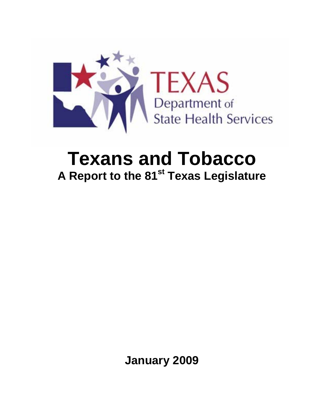

# **Texans and Tobacco A Report to the 81st Texas Legislature**

**January 2009**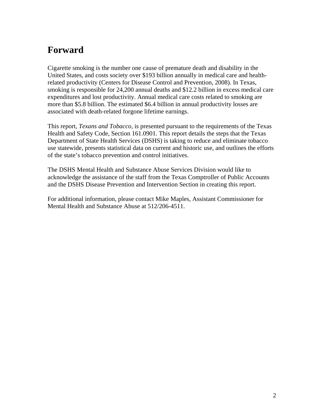# **Forward**

Cigarette smoking is the number one cause of premature death and disability in the United States, and costs society over \$193 billion annually in medical care and healthrelated productivity (Centers for Disease Control and Prevention, 2008). In Texas, smoking is responsible for 24,200 annual deaths and \$12.2 billion in excess medical care expenditures and lost productivity. Annual medical care costs related to smoking are more than \$5.8 billion. The estimated \$6.4 billion in annual productivity losses are associated with death-related forgone lifetime earnings.

This report, *Texans and Tobacco*, is presented pursuant to the requirements of the Texas Health and Safety Code, Section 161.0901. This report details the steps that the Texas Department of State Health Services (DSHS) is taking to reduce and eliminate tobacco use statewide, presents statistical data on current and historic use, and outlines the efforts of the state's tobacco prevention and control initiatives.

The DSHS Mental Health and Substance Abuse Services Division would like to acknowledge the assistance of the staff from the Texas Comptroller of Public Accounts and the DSHS Disease Prevention and Intervention Section in creating this report.

For additional information, please contact Mike Maples, Assistant Commissioner for Mental Health and Substance Abuse at 512/206-4511.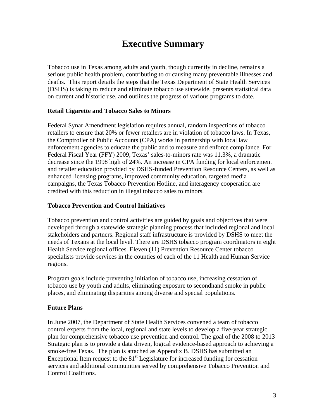# **Executive Summary**

Tobacco use in Texas among adults and youth, though currently in decline, remains a serious public health problem, contributing to or causing many preventable illnesses and deaths. This report details the steps that the Texas Department of State Health Services (DSHS) is taking to reduce and eliminate tobacco use statewide, presents statistical data on current and historic use, and outlines the progress of various programs to date.

### **Retail Cigarette and Tobacco Sales to Minors**

Federal Synar Amendment legislation requires annual, random inspections of tobacco retailers to ensure that 20% or fewer retailers are in violation of tobacco laws. In Texas, the Comptroller of Public Accounts (CPA) works in partnership with local law enforcement agencies to educate the public and to measure and enforce compliance. For Federal Fiscal Year (FFY) 2009, Texas' sales-to-minors rate was 11.3%, a dramatic decrease since the 1998 high of 24%. An increase in CPA funding for local enforcement and retailer education provided by DSHS-funded Prevention Resource Centers, as well as enhanced licensing programs, improved community education, targeted media campaigns, the Texas Tobacco Prevention Hotline, and interagency cooperation are credited with this reduction in illegal tobacco sales to minors.

### **Tobacco Prevention and Control Initiatives**

Tobacco prevention and control activities are guided by goals and objectives that were developed through a statewide strategic planning process that included regional and local stakeholders and partners. Regional staff infrastructure is provided by DSHS to meet the needs of Texans at the local level. There are DSHS tobacco program coordinators in eight Health Service regional offices. Eleven (11) Prevention Resource Center tobacco specialists provide services in the counties of each of the 11 Health and Human Service regions.

Program goals include preventing initiation of tobacco use, increasing cessation of tobacco use by youth and adults, eliminating exposure to secondhand smoke in public places, and eliminating disparities among diverse and special populations.

### **Future Plans**

In June 2007, the Department of State Health Services convened a team of tobacco control experts from the local, regional and state levels to develop a five-year strategic plan for comprehensive tobacco use prevention and control. The goal of the 2008 to 2013 Strategic plan is to provide a data driven, logical evidence-based approach to achieving a smoke-free Texas. The plan is attached as Appendix B. DSHS has submitted an Exceptional Item request to the  $81<sup>st</sup>$  Legislature for increased funding for cessation services and additional communities served by comprehensive Tobacco Prevention and Control Coalitions.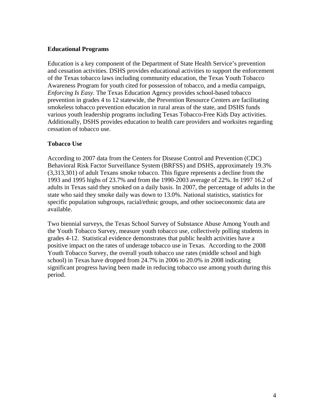### **Educational Programs**

Education is a key component of the Department of State Health Service's prevention and cessation activities. DSHS provides educational activities to support the enforcement of the Texas tobacco laws including community education, the Texas Youth Tobacco Awareness Program for youth cited for possession of tobacco, and a media campaign, *Enforcing Is Easy.* The Texas Education Agency provides school-based tobacco prevention in grades 4 to 12 statewide, the Prevention Resource Centers are facilitating smokeless tobacco prevention education in rural areas of the state, and DSHS funds various youth leadership programs including Texas Tobacco-Free Kids Day activities. Additionally, DSHS provides education to health care providers and worksites regarding cessation of tobacco use.

### **Tobacco Use**

According to 2007 data from the Centers for Disease Control and Prevention (CDC) Behavioral Risk Factor Surveillance System (BRFSS) and DSHS, approximately 19.3% (3,313,301) of adult Texans smoke tobacco. This figure represents a decline from the 1993 and 1995 highs of 23.7% and from the 1990-2003 average of 22%. In 1997 16.2 of adults in Texas said they smoked on a daily basis. In 2007, the percentage of adults in the state who said they smoke daily was down to 13.0%. National statistics, statistics for specific population subgroups, racial/ethnic groups, and other socioeconomic data are available.

Two biennial surveys, the Texas School Survey of Substance Abuse Among Youth and the Youth Tobacco Survey, measure youth tobacco use, collectively polling students in grades 4-12. Statistical evidence demonstrates that public health activities have a positive impact on the rates of underage tobacco use in Texas. According to the 2008 Youth Tobacco Survey, the overall youth tobacco use rates (middle school and high school) in Texas have dropped from 24.7% in 2006 to 20.0% in 2008 indicating significant progress having been made in reducing tobacco use among youth during this period.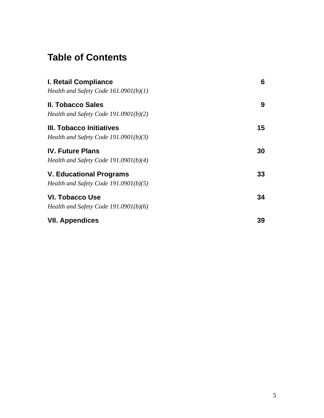# **Table of Contents**

| I. Retail Compliance                    | 6  |
|-----------------------------------------|----|
| Health and Safety Code $161.0901(b)(1)$ |    |
| II. Tobacco Sales                       | 9  |
| Health and Safety Code 191.0901(b)(2)   |    |
| III. Tobacco Initiatives                | 15 |
| Health and Safety Code $191.0901(b)(3)$ |    |
| <b>IV. Future Plans</b>                 | 30 |
| Health and Safety Code 191.0901(b)(4)   |    |
| V. Educational Programs                 | 33 |
| Health and Safety Code 191.0901(b)(5)   |    |
| VI. Tobacco Use                         | 34 |
| Health and Safety Code $191.0901(b)(6)$ |    |
| <b>VII. Appendices</b>                  | 39 |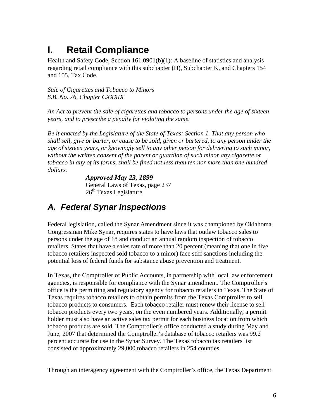# **I. Retail Compliance**

Health and Safety Code, Section 161.0901(b)(1): A baseline of statistics and analysis regarding retail compliance with this subchapter (H), Subchapter K, and Chapters 154 and 155, Tax Code.

*Sale of Cigarettes and Tobacco to Minors S.B. No. 76, Chapter CXXXIX* 

*An Act to prevent the sale of cigarettes and tobacco to persons under the age of sixteen years, and to prescribe a penalty for violating the same.* 

*Be it enacted by the Legislature of the State of Texas: Section 1. That any person who shall sell, give or barter, or cause to be sold, given or bartered, to any person under the age of sixteen years, or knowingly sell to any other person for delivering to such minor, without the written consent of the parent or guardian of such minor any cigarette or tobacco in any of its forms, shall be fined not less than ten nor more than one hundred dollars.* 

> *Approved May 23, 1899*  General Laws of Texas, page 237  $26<sup>th</sup>$  Texas Legislature

# *A. Federal Synar Inspections*

Federal legislation, called the Synar Amendment since it was championed by Oklahoma Congressman Mike Synar, requires states to have laws that outlaw tobacco sales to persons under the age of 18 and conduct an annual random inspection of tobacco retailers. States that have a sales rate of more than 20 percent (meaning that one in five tobacco retailers inspected sold tobacco to a minor) face stiff sanctions including the potential loss of federal funds for substance abuse prevention and treatment.

In Texas, the Comptroller of Public Accounts, in partnership with local law enforcement agencies, is responsible for compliance with the Synar amendment. The Comptroller's office is the permitting and regulatory agency for tobacco retailers in Texas. The State of Texas requires tobacco retailers to obtain permits from the Texas Comptroller to sell tobacco products to consumers. Each tobacco retailer must renew their license to sell tobacco products every two years, on the even numbered years. Additionally, a permit holder must also have an active sales tax permit for each business location from which tobacco products are sold. The Comptroller's office conducted a study during May and June, 2007 that determined the Comptroller's database of tobacco retailers was 99.2 percent accurate for use in the Synar Survey. The Texas tobacco tax retailers list consisted of approximately 29,000 tobacco retailers in 254 counties.

Through an interagency agreement with the Comptroller's office, the Texas Department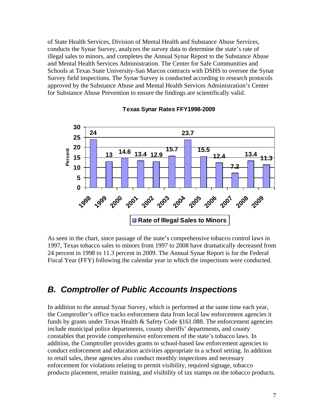of State Health Services, Division of Mental Health and Substance Abuse Services, conducts the Synar Survey, analyzes the survey data to determine the state's rate of illegal sales to minors, and completes the Annual Synar Report to the Substance Abuse and Mental Health Services Administration. The Center for Safe Communities and Schools at Texas State University-San Marcos contracts with DSHS to oversee the Synar Survey field inspections. The Synar Survey is conducted according to research protocols approved by the Substance Abuse and Mental Health Services Administration's Center for Substance Abuse Prevention to ensure the findings are scientifically valid.



### **Texas Synar Rates FFY1998-2009**

As seen in the chart, since passage of the state's comprehensive tobacco control laws in 1997, Texas tobacco sales to minors from 1997 to 2008 have dramatically decreased from 24 percent in 1998 to 11.3 percent in 2009. The Annual Synar Report is for the Federal Fiscal Year (FFY) following the calendar year in which the inspections were conducted.

# *B. Comptroller of Public Accounts Inspections*

In addition to the annual Synar Survey, which is performed at the same time each year, the Comptroller's office tracks enforcement data from local law enforcement agencies it funds by grants under Texas Health  $&$  Safety Code §161.088. The enforcement agencies include municipal police departments, county sheriffs' departments, and county constables that provide comprehensive enforcement of the state's tobacco laws. In addition, the Comptroller provides grants to school-based law enforcement agencies to conduct enforcement and education activities appropriate in a school setting. In addition to retail sales, these agencies also conduct monthly inspections and necessary enforcement for violations relating to permit visibility, required signage, tobacco products placement, retailer training, and visibility of tax stamps on the tobacco products.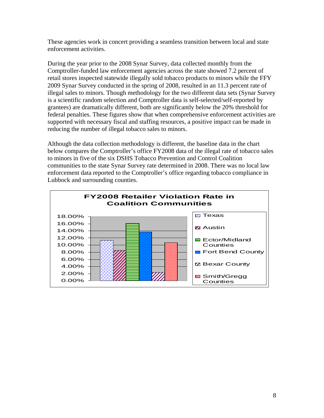These agencies work in concert providing a seamless transition between local and state enforcement activities.

During the year prior to the 2008 Synar Survey, data collected monthly from the Comptroller-funded law enforcement agencies across the state showed 7.2 percent of retail stores inspected statewide illegally sold tobacco products to minors while the FFY 2009 Synar Survey conducted in the spring of 2008, resulted in an 11.3 percent rate of illegal sales to minors. Though methodology for the two different data sets (Synar Survey is a scientific random selection and Comptroller data is self-selected/self-reported by grantees) are dramatically different, both are significantly below the 20% threshold for federal penalties. These figures show that when comprehensive enforcement activities are supported with necessary fiscal and staffing resources, a positive impact can be made in reducing the number of illegal tobacco sales to minors.

Although the data collection methodology is different, the baseline data in the chart below compares the Comptroller's office FY2008 data of the illegal rate of tobacco sales to minors in five of the six DSHS Tobacco Prevention and Control Coalition communities to the state Synar Survey rate determined in 2008. There was no local law enforcement data reported to the Comptroller's office regarding tobacco compliance in Lubbock and surrounding counties.

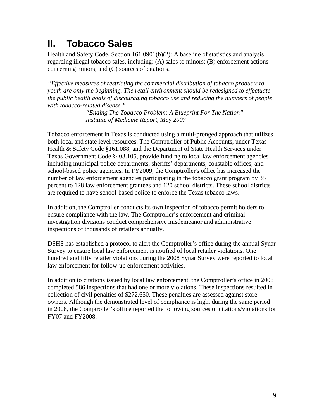# **II. Tobacco Sales**

Health and Safety Code, Section 161.0901(b)(2): A baseline of statistics and analysis regarding illegal tobacco sales, including: (A) sales to minors; (B) enforcement actions concerning minors; and (C) sources of citations.

*"Effective measures of restricting the commercial distribution of tobacco products to youth are only the beginning. The retail environment should be redesigned to effectuate the public health goals of discouraging tobacco use and reducing the numbers of people with tobacco-related disease."* 

> *"Ending The Tobacco Problem: A Blueprint For The Nation" Institute of Medicine Report, May 2007*

Tobacco enforcement in Texas is conducted using a multi-pronged approach that utilizes both local and state level resources. The Comptroller of Public Accounts, under Texas Health & Safety Code §161.088, and the Department of State Health Services under Texas Government Code §403.105, provide funding to local law enforcement agencies including municipal police departments, sheriffs' departments, constable offices, and school-based police agencies. In FY2009, the Comptroller's office has increased the number of law enforcement agencies participating in the tobacco grant program by 35 percent to 128 law enforcement grantees and 120 school districts. These school districts are required to have school-based police to enforce the Texas tobacco laws.

In addition, the Comptroller conducts its own inspection of tobacco permit holders to ensure compliance with the law. The Comptroller's enforcement and criminal investigation divisions conduct comprehensive misdemeanor and administrative inspections of thousands of retailers annually.

DSHS has established a protocol to alert the Comptroller's office during the annual Synar Survey to ensure local law enforcement is notified of local retailer violations. One hundred and fifty retailer violations during the 2008 Synar Survey were reported to local law enforcement for follow-up enforcement activities.

In addition to citations issued by local law enforcement, the Comptroller's office in 2008 completed 586 inspections that had one or more violations. These inspections resulted in collection of civil penalties of \$272,650. These penalties are assessed against store owners. Although the demonstrated level of compliance is high, during the same period in 2008, the Comptroller's office reported the following sources of citations/violations for FY07 and FY2008: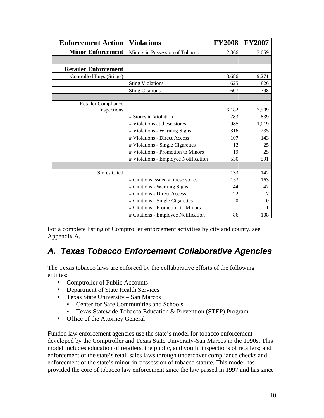| <b>Enforcement Action</b>   | <b>Violations</b>                    | <b>FY2008</b> | <b>FY2007</b>  |
|-----------------------------|--------------------------------------|---------------|----------------|
| <b>Minor Enforcement</b>    | Minors in Possession of Tobacco      | 2,366         | 3,059          |
|                             |                                      |               |                |
| <b>Retailer Enforcement</b> |                                      |               |                |
| Controlled Buys (Stings)    |                                      | 8,686         | 9,271          |
|                             | <b>Sting Violations</b>              | 625           | 826            |
|                             | <b>Sting Citations</b>               | 607           | 798            |
|                             |                                      |               |                |
| <b>Retailer Compliance</b>  |                                      |               |                |
| Inspections                 |                                      | 6,182         | 7,509          |
|                             | # Stores in Violation                | 783           | 839            |
|                             | # Violations at these stores         | 985           | 1,019          |
|                             | # Violations - Warning Signs         | 316           | 235            |
|                             | # Violations - Direct Access         | 107           | 143            |
|                             | # Violations - Single Cigarettes     | 13            | 25             |
|                             | # Violations - Promotion to Minors   | 19            | 25             |
|                             | # Violations - Employee Notification | 530           | 591            |
|                             |                                      |               |                |
| <b>Stores Cited</b>         |                                      | 133           | 142            |
|                             | # Citations issued at these stores   | 153           | 163            |
|                             | # Citations - Warning Signs          | 44            | 47             |
|                             | # Citations - Direct Access          | 22            | $\overline{7}$ |
|                             | # Citations - Single Cigarettes      | $\Omega$      | $\theta$       |
|                             | # Citations - Promotion to Minors    | 1             |                |
|                             | # Citations - Employee Notification  | 86            | 108            |

For a complete listing of Comptroller enforcement activities by city and county, see Appendix A.

# *A. Texas Tobacco Enforcement Collaborative Agencies*

The Texas tobacco laws are enforced by the collaborative efforts of the following entities:

- Comptroller of Public Accounts
- Department of State Health Services
- **Texas State University San Marcos** 
	- Center for Safe Communities and Schools
	- Texas Statewide Tobacco Education & Prevention (STEP) Program
- **•** Office of the Attorney General

Funded law enforcement agencies use the state's model for tobacco enforcement developed by the Comptroller and Texas State University-San Marcos in the 1990s. This model includes education of retailers, the public, and youth; inspections of retailers; and enforcement of the state's retail sales laws through undercover compliance checks and enforcement of the state's minor-in-possession of tobacco statute. This model has provided the core of tobacco law enforcement since the law passed in 1997 and has since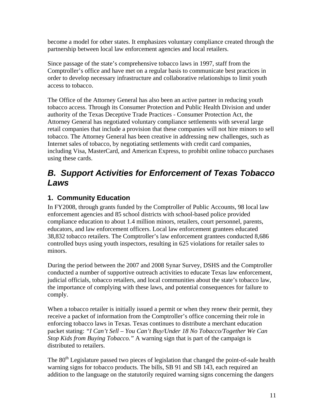become a model for other states. It emphasizes voluntary compliance created through the partnership between local law enforcement agencies and local retailers.

Since passage of the state's comprehensive tobacco laws in 1997, staff from the Comptroller's office and have met on a regular basis to communicate best practices in order to develop necessary infrastructure and collaborative relationships to limit youth access to tobacco.

The Office of the Attorney General has also been an active partner in reducing youth tobacco access. Through its Consumer Protection and Public Health Division and under authority of the Texas Deceptive Trade Practices - Consumer Protection Act, the Attorney General has negotiated voluntary compliance settlements with several large retail companies that include a provision that these companies will not hire minors to sell tobacco. The Attorney General has been creative in addressing new challenges, such as Internet sales of tobacco, by negotiating settlements with credit card companies, including Visa, MasterCard, and American Express, to prohibit online tobacco purchases using these cards.

# *B. Support Activities for Enforcement of Texas Tobacco Laws*

# **1. Community Education**

In FY2008, through grants funded by the Comptroller of Public Accounts, 98 local law enforcement agencies and 85 school districts with school-based police provided compliance education to about 1.4 million minors, retailers, court personnel, parents, educators, and law enforcement officers. Local law enforcement grantees educated 38,832 tobacco retailers. The Comptroller's law enforcement grantees conducted 8,686 controlled buys using youth inspectors, resulting in 625 violations for retailer sales to minors.

During the period between the 2007 and 2008 Synar Survey, DSHS and the Comptroller conducted a number of supportive outreach activities to educate Texas law enforcement, judicial officials, tobacco retailers, and local communities about the state's tobacco law, the importance of complying with these laws, and potential consequences for failure to comply.

When a tobacco retailer is initially issued a permit or when they renew their permit, they receive a packet of information from the Comptroller's office concerning their role in enforcing tobacco laws in Texas. Texas continues to distribute a merchant education packet stating: *"I Can't Sell – You Can't Buy/Under 18 No Tobacco/Together We Can Stop Kids from Buying Tobacco."* A warning sign that is part of the campaign is distributed to retailers.

The 80<sup>th</sup> Legislature passed two pieces of legislation that changed the point-of-sale health warning signs for tobacco products. The bills, SB 91 and SB 143, each required an addition to the language on the statutorily required warning signs concerning the dangers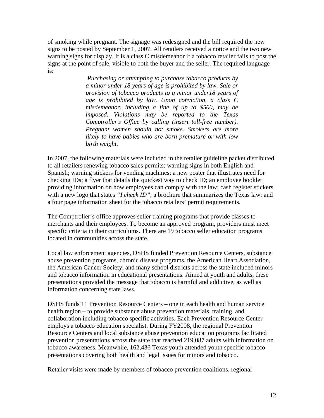of smoking while pregnant. The signage was redesigned and the bill required the new signs to be posted by September 1, 2007. All retailers received a notice and the two new warning signs for display. It is a class C misdemeanor if a tobacco retailer fails to post the signs at the point of sale, visible to both the buyer and the seller. The required language is:

> *Purchasing or attempting to purchase tobacco products by a minor under 18 years of age is prohibited by law. Sale or provision of tobacco products to a minor under18 years of age is prohibited by law. Upon conviction, a class C misdemeanor, including a fine of up to \$500, may be imposed. Violations may be reported to the Texas Comptroller's Office by calling (insert toll-free number). Pregnant women should not smoke. Smokers are more likely to have babies who are born premature or with low birth weight.*

In 2007, the following materials were included in the retailer guideline packet distributed to all retailers renewing tobacco sales permits: warning signs in both English and Spanish; warning stickers for vending machines; a new poster that illustrates need for checking IDs; a flyer that details the quickest way to check ID; an employee booklet providing information on how employees can comply with the law; cash register stickers with a new logo that states "*I check ID*"; a brochure that summarizes the Texas law; and a four page information sheet for the tobacco retailers' permit requirements.

The Comptroller's office approves seller training programs that provide classes to merchants and their employees. To become an approved program, providers must meet specific criteria in their curriculums. There are 19 tobacco seller education programs located in communities across the state.

Local law enforcement agencies, DSHS funded Prevention Resource Centers, substance abuse prevention programs, chronic disease programs, the American Heart Association, the American Cancer Society, and many school districts across the state included minors and tobacco information in educational presentations. Aimed at youth and adults, these presentations provided the message that tobacco is harmful and addictive, as well as information concerning state laws.

DSHS funds 11 Prevention Resource Centers – one in each health and human service health region – to provide substance abuse prevention materials, training, and collaboration including tobacco specific activities. Each Prevention Resource Center employs a tobacco education specialist. During FY2008, the regional Prevention Resource Centers and local substance abuse prevention education programs facilitated prevention presentations across the state that reached 219,087 adults with information on tobacco awareness. Meanwhile, 162,436 Texas youth attended youth specific tobacco presentations covering both health and legal issues for minors and tobacco.

Retailer visits were made by members of tobacco prevention coalitions, regional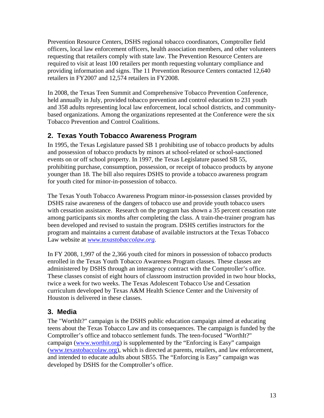Prevention Resource Centers, DSHS regional tobacco coordinators, Comptroller field officers, local law enforcement officers, health association members, and other volunteers requesting that retailers comply with state law. The Prevention Resource Centers are required to visit at least 100 retailers per month requesting voluntary compliance and providing information and signs. The 11 Prevention Resource Centers contacted 12,640 retailers in FY2007 and 12,574 retailers in FY2008.

In 2008, the Texas Teen Summit and Comprehensive Tobacco Prevention Conference, held annually in July, provided tobacco prevention and control education to 231 youth and 358 adults representing local law enforcement, local school districts, and communitybased organizations. Among the organizations represented at the Conference were the six Tobacco Prevention and Control Coalitions.

# **2. Texas Youth Tobacco Awareness Program**

In 1995, the Texas Legislature passed SB 1 prohibiting use of tobacco products by adults and possession of tobacco products by minors at school-related or school-sanctioned events on or off school property. In 1997, the Texas Legislature passed SB 55, prohibiting purchase, consumption, possession, or receipt of tobacco products by anyone younger than 18. The bill also requires DSHS to provide a tobacco awareness program for youth cited for minor-in-possession of tobacco.

The Texas Youth Tobacco Awareness Program minor-in-possession classes provided by DSHS raise awareness of the dangers of tobacco use and provide youth tobacco users with cessation assistance. Research on the program has shown a 35 percent cessation rate among participants six months after completing the class. A train-the-trainer program has been developed and revised to sustain the program. DSHS certifies instructors for the program and maintains a current database of available instructors at the Texas Tobacco Law website at *[www.texastobaccolaw.org](http://www.texastobaccolaw.org/).* 

In FY 2008, 1,997 of the 2,366 youth cited for minors in possession of tobacco products enrolled in the Texas Youth Tobacco Awareness Program classes. These classes are administered by DSHS through an interagency contract with the Comptroller's office. These classes consist of eight hours of classroom instruction provided in two hour blocks, twice a week for two weeks. The Texas Adolescent Tobacco Use and Cessation curriculum developed by Texas A&M Health Science Center and the University of Houston is delivered in these classes.

### **3. Media**

The "WorthIt?" campaign is the DSHS public education campaign aimed at educating teens about the Texas Tobacco Law and its consequences. The campaign is funded by the Comptroller's office and tobacco settlement funds. The teen-focused "WorthIt?" campaign ([www.worthit.org](http://www.worthit.org/)) is supplemented by the "Enforcing is Easy" campaign ([www.texastobaccolaw.org](http://www.texastobaccolaw.org/)), which is directed at parents, retailers, and law enforcement, and intended to educate adults about SB55. The "Enforcing is Easy" campaign was developed by DSHS for the Comptroller's office.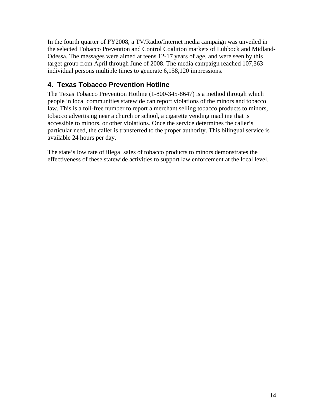In the fourth quarter of FY2008, a TV/Radio/Internet media campaign was unveiled in the selected Tobacco Prevention and Control Coalition markets of Lubbock and Midland-Odessa. The messages were aimed at teens 12-17 years of age, and were seen by this target group from April through June of 2008. The media campaign reached 107,363 individual persons multiple times to generate 6,158,120 impressions.

# **4. Texas Tobacco Prevention Hotline**

The Texas Tobacco Prevention Hotline (1-800-345-8647) is a method through which people in local communities statewide can report violations of the minors and tobacco law. This is a toll-free number to report a merchant selling tobacco products to minors, tobacco advertising near a church or school, a cigarette vending machine that is accessible to minors, or other violations. Once the service determines the caller's particular need, the caller is transferred to the proper authority. This bilingual service is available 24 hours per day.

The state's low rate of illegal sales of tobacco products to minors demonstrates the effectiveness of these statewide activities to support law enforcement at the local level.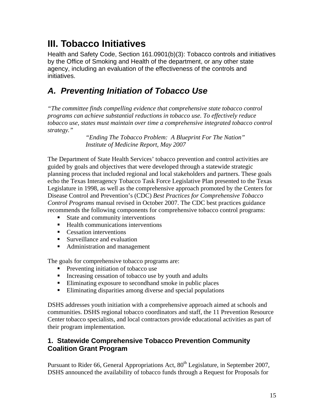# **III. Tobacco Initiatives**

Health and Safety Code, Section 161.0901(b)(3): Tobacco controls and initiatives by the Office of Smoking and Health of the department, or any other state agency, including an evaluation of the effectiveness of the controls and initiatives.

# *A. Preventing Initiation of Tobacco Use*

*"The committee finds compelling evidence that comprehensive state tobacco control programs can achieve substantial reductions in tobacco use. To effectively reduce tobacco use, states must maintain over time a comprehensive integrated tobacco control strategy."* 

> *"Ending The Tobacco Problem: A Blueprint For The Nation" Institute of Medicine Report, May 2007*

The Department of State Health Services' tobacco prevention and control activities are guided by goals and objectives that were developed through a statewide strategic planning process that included regional and local stakeholders and partners. These goals echo the Texas Interagency Tobacco Task Force Legislative Plan presented to the Texas Legislature in 1998, as well as the comprehensive approach promoted by the Centers for Disease Control and Prevention's (CDC) *Best Practices for Comprehensive Tobacco Control Programs* manual revised in October 2007. The CDC best practices guidance recommends the following components for comprehensive tobacco control programs:

- State and community interventions
- $\blacksquare$  Health communications interventions
- **Cessation interventions**
- **Surveillance and evaluation**
- Administration and management

The goals for comprehensive tobacco programs are:

- **Preventing initiation of tobacco use**
- Increasing cessation of tobacco use by youth and adults
- Eliminating exposure to secondhand smoke in public places
- Eliminating disparities among diverse and special populations

DSHS addresses youth initiation with a comprehensive approach aimed at schools and communities. DSHS regional tobacco coordinators and staff, the 11 Prevention Resource Center tobacco specialists, and local contractors provide educational activities as part of their program implementation.

### **1. Statewide Comprehensive Tobacco Prevention Community Coalition Grant Program**

Pursuant to Rider 66, General Appropriations Act, 80<sup>th</sup> Legislature, in September 2007, DSHS announced the availability of tobacco funds through a Request for Proposals for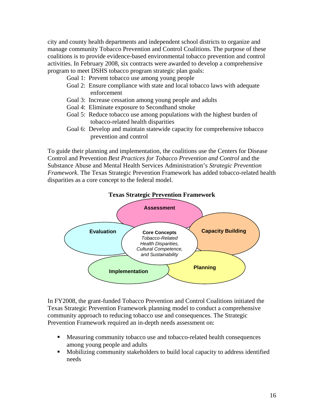city and county health departments and independent school districts to organize and manage community Tobacco Prevention and Control Coalitions. The purpose of these coalitions is to provide evidence-based environmental tobacco prevention and control activities. In February 2008, six contracts were awarded to develop a comprehensive program to meet DSHS tobacco program strategic plan goals:

- Goal 1: Prevent tobacco use among young people
- Goal 2: Ensure compliance with state and local tobacco laws with adequate enforcement
- Goal 3: Increase cessation among young people and adults
- Goal 4: Eliminate exposure to Secondhand smoke
- Goal 5: Reduce tobacco use among populations with the highest burden of tobacco-related health disparities
- Goal 6: Develop and maintain statewide capacity for comprehensive tobacco prevention and control

To guide their planning and implementation, the coalitions use the Centers for Disease Control and Prevention *Best Practices for Tobacco Prevention and Control* and the Substance Abuse and Mental Health Services Administration's *Strategic Prevention Framework*. The Texas Strategic Prevention Framework has added tobacco-related health disparities as a core concept to the federal model.



In FY2008, the grant-funded Tobacco Prevention and Control Coalitions initiated the Texas Strategic Prevention Framework planning model to conduct a comprehensive community approach to reducing tobacco use and consequences. The Strategic Prevention Framework required an in-depth needs assessment on:

- Measuring community tobacco use and tobacco-related health consequences among young people and adults
- Mobilizing community stakeholders to build local capacity to address identified needs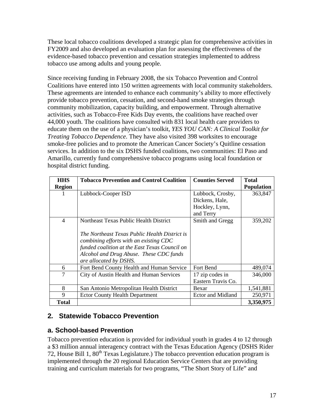These local tobacco coalitions developed a strategic plan for comprehensive activities in FY2009 and also developed an evaluation plan for assessing the effectiveness of the evidence-based tobacco prevention and cessation strategies implemented to address tobacco use among adults and young people.

Since receiving funding in February 2008, the six Tobacco Prevention and Control Coalitions have entered into 150 written agreements with local community stakeholders. These agreements are intended to enhance each community's ability to more effectively provide tobacco prevention, cessation, and second-hand smoke strategies through community mobilization, capacity building, and empowerment. Through alternative activities, such as Tobacco-Free Kids Day events, the coalitions have reached over 44,000 youth. The coalitions have consulted with 831 local health care providers to educate them on the use of a physician's toolkit, *YES YOU CAN: A Clinical Toolkit for Treating Tobacco Dependence*. They have also visited 398 worksites to encourage smoke-free policies and to promote the American Cancer Society's Quitline cessation services. In addition to the six DSHS funded coalitions, two communities: El Paso and Amarillo, currently fund comprehensive tobacco programs using local foundation or hospital district funding.

| <b>HHS</b><br><b>Region</b> | <b>Tobacco Prevention and Control Coalition</b>                                                                                                                                                               | <b>Counties Served</b>             | <b>Total</b><br><b>Population</b> |
|-----------------------------|---------------------------------------------------------------------------------------------------------------------------------------------------------------------------------------------------------------|------------------------------------|-----------------------------------|
| T                           | Lubbock-Cooper ISD                                                                                                                                                                                            | Lubbock, Crosby,<br>Dickens, Hale, | 363,847                           |
|                             |                                                                                                                                                                                                               | Hockley, Lynn,<br>and Terry        |                                   |
| $\overline{4}$              | Northeast Texas Public Health District                                                                                                                                                                        | Smith and Gregg                    | 359,202                           |
|                             | The Northeast Texas Public Health District is<br>combining efforts with an existing CDC<br>funded coalition at the East Texas Council on<br>Alcohol and Drug Abuse. These CDC funds<br>are allocated by DSHS. |                                    |                                   |
| 6                           | Fort Bend County Health and Human Service                                                                                                                                                                     | Fort Bend                          | 489,074                           |
| 7                           | City of Austin Health and Human Services                                                                                                                                                                      | 17 zip codes in                    | 346,000                           |
|                             |                                                                                                                                                                                                               | Eastern Travis Co.                 |                                   |
| 8                           | San Antonio Metropolitan Health District                                                                                                                                                                      | Bexar                              | 1,541,881                         |
| 9                           | <b>Ector County Health Department</b>                                                                                                                                                                         | Ector and Midland                  | 250,971                           |
| <b>Total</b>                |                                                                                                                                                                                                               |                                    | 3,350,975                         |

# **2***.* **Statewide Tobacco Prevention**

### **a. School-based Prevention**

Tobacco prevention education is provided for individual youth in grades 4 to 12 through a \$3 million annual interagency contract with the Texas Education Agency (DSHS Rider 72, House Bill 1,  $80^{th}$  Texas Legislature.) The tobacco prevention education program is implemented through the 20 regional Education Service Centers that are providing training and curriculum materials for two programs, "The Short Story of Life" and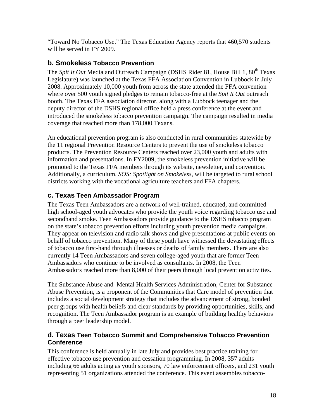"Toward No Tobacco Use." The Texas Education Agency reports that 460,570 students will be served in FY 2009.

### **b. Smokeless Tobacco Prevention**

The *Spit It Out* Media and Outreach Campaign (DSHS Rider 81, House Bill 1, 80<sup>th</sup> Texas Legislature) was launched at the Texas FFA Association Convention in Lubbock in July 2008. Approximately 10,000 youth from across the state attended the FFA convention where over 500 youth signed pledges to remain tobacco-free at the *Spit It Out* outreach booth. The Texas FFA association director, along with a Lubbock teenager and the deputy director of the DSHS regional office held a press conference at the event and introduced the smokeless tobacco prevention campaign. The campaign resulted in media coverage that reached more than 178,000 Texans.

An educational prevention program is also conducted in rural communities statewide by the 11 regional Prevention Resource Centers to prevent the use of smokeless tobacco products. The Prevention Resource Centers reached over 23,000 youth and adults with information and presentations. In FY2009, the smokeless prevention initiative will be promoted to the Texas FFA members through its website, newsletter, and convention. Additionally, a curriculum, *SOS: Spotlight on Smokeless*, will be targeted to rural school districts working with the vocational agriculture teachers and FFA chapters.

# **c. Texas Teen Ambassador Program**

The Texas Teen Ambassadors are a network of well-trained, educated, and committed high school-aged youth advocates who provide the youth voice regarding tobacco use and secondhand smoke. Teen Ambassadors provide guidance to the DSHS tobacco program on the state's tobacco prevention efforts including youth prevention media campaigns. They appear on television and radio talk shows and give presentations at public events on behalf of tobacco prevention. Many of these youth have witnessed the devastating effects of tobacco use first-hand through illnesses or deaths of family members. There are also currently 14 Teen Ambassadors and seven college-aged youth that are former Teen Ambassadors who continue to be involved as consultants. In 2008, the Teen Ambassadors reached more than 8,000 of their peers through local prevention activities.

The Substance Abuse and Mental Health Services Administration, Center for Substance Abuse Prevention, is a proponent of the Communities that Care model of prevention that includes a social development strategy that includes the advancement of strong, bonded peer groups with health beliefs and clear standards by providing opportunities, skills, and recognition. The Teen Ambassador program is an example of building healthy behaviors through a peer leadership model.

### **d. Texas Teen Tobacco Summit and Comprehensive Tobacco Prevention Conference**

This conference is held annually in late July and provides best practice training for effective tobacco use prevention and cessation programming. In 2008, 357 adults including 66 adults acting as youth sponsors, 70 law enforcement officers, and 231 youth representing 51 organizations attended the conference. This event assembles tobacco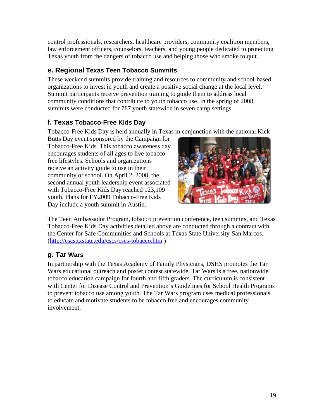control professionals, researchers, healthcare providers, community coalition members, law enforcement officers, counselors, teachers, and young people dedicated to protecting Texas youth from the dangers of tobacco use and helping those who smoke to quit.

# **e. Regional Texas Teen Tobacco Summits**

These weekend summits provide training and resources to community and school-based organizations to invest in youth and create a positive social change at the local level. Summit participants receive prevention training to guide them to address local community conditions that contribute to youth tobacco use. In the spring of 2008, summits were conducted for 787 youth statewide in seven camp settings.

# **f. Texas Tobacco-Free Kids Day**

Tobacco-Free Kids Day is held annually in Texas in conjunction with the national Kick

Butts Day event sponsored by the Campaign for Tobacco-Free Kids. This tobacco awareness day encourages students of all ages to live tobaccofree lifestyles. Schools and organizations receive an activity guide to use in their community or school. On April 2, 2008, the second annual youth leadership event associated with Tobacco-Free Kids Day reached 123,109 youth. Plans for FY2009 Tobacco-Free Kids Day include a youth summit in Austin.



The Teen Ambassador Program, tobacco prevention conference, teen summits, and Texas Tobacco-Free Kids Day activities detailed above are conducted through a contract with the Center for Safe Communities and Schools at Texas State University-San Marcos. (<http://cscs.txstate.edu/cscs/cscs-tobacco.htm>)

# **g. Tar Wars**

In partnership with the Texas Academy of Family Physicians, DSHS promotes the Tar Wars educational outreach and poster contest statewide. Tar Wars is a free, nationwide tobacco education campaign for fourth and fifth graders. The curriculum is consistent with Center for Disease Control and Prevention's Guidelines for School Health Programs to prevent tobacco use among youth. The Tar Wars program uses medical professionals to educate and motivate students to be tobacco free and encourages community involvement.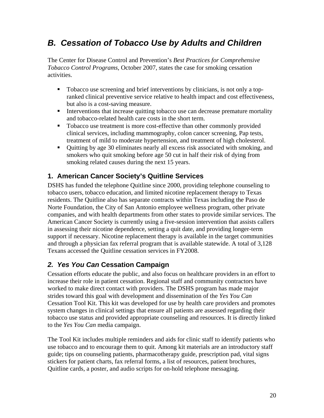# *B. Cessation of Tobacco Use by Adults and Children*

The Center for Disease Control and Prevention's *Best Practices for Comprehensive Tobacco Control Programs*, October 2007*,* states the case for smoking cessation activities.

- Tobacco use screening and brief interventions by clinicians, is not only a topranked clinical preventive service relative to health impact and cost effectiveness, but also is a cost-saving measure.
- Interventions that increase quitting tobacco use can decrease premature mortality and tobacco-related health care costs in the short term.
- Tobacco use treatment is more cost-effective than other commonly provided clinical services, including mammography, colon cancer screening, Pap tests, treatment of mild to moderate hypertension, and treatment of high cholesterol.
- Quitting by age 30 eliminates nearly all excess risk associated with smoking, and smokers who quit smoking before age 50 cut in half their risk of dying from smoking related causes during the next 15 years.

# **1. American Cancer Society's Quitline Services**

DSHS has funded the telephone Quitline since 2000, providing telephone counseling to tobacco users, tobacco education, and limited nicotine replacement therapy to Texas residents. The Quitline also has separate contracts within Texas including the Paso de Norte Foundation, the City of San Antonio employee wellness program, other private companies, and with health departments from other states to provide similar services. The American Cancer Society is currently using a five-session intervention that assists callers in assessing their nicotine dependence, setting a quit date, and providing longer-term support if necessary. Nicotine replacement therapy is available in the target communities and through a physician fax referral program that is available statewide. A total of 3,128 Texans accessed the Quitline cessation services in FY2008.

# *2. Yes You Can* **Cessation Campaign**

Cessation efforts educate the public, and also focus on healthcare providers in an effort to increase their role in patient cessation. Regional staff and community contractors have worked to make direct contact with providers. The DSHS program has made major strides toward this goal with development and dissemination of the *Yes You Can* Cessation Tool Kit. This kit was developed for use by health care providers and promotes system changes in clinical settings that ensure all patients are assessed regarding their tobacco use status and provided appropriate counseling and resources. It is directly linked to the *Yes You Can* media campaign.

The Tool Kit includes multiple reminders and aids for clinic staff to identify patients who use tobacco and to encourage them to quit. Among kit materials are an introductory staff guide; tips on counseling patients, pharmacotherapy guide, prescription pad, vital signs stickers for patient charts, fax referral forms, a list of resources, patient brochures, Quitline cards, a poster, and audio scripts for on-hold telephone messaging.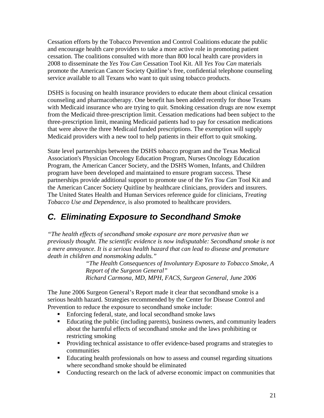Cessation efforts by the Tobacco Prevention and Control Coalitions educate the public and encourage health care providers to take a more active role in promoting patient cessation. The coalitions consulted with more than 800 local health care providers in 2008 to disseminate the *Yes You Can* Cessation Tool Kit. All *Yes You Can* materials promote the American Cancer Society Quitline's free, confidential telephone counseling service available to all Texans who want to quit using tobacco products.

DSHS is focusing on health insurance providers to educate them about clinical cessation counseling and pharmacotherapy. One benefit has been added recently for those Texans with Medicaid insurance who are trying to quit. Smoking cessation drugs are now exempt from the Medicaid three-prescription limit. Cessation medications had been subject to the three-prescription limit, meaning Medicaid patients had to pay for cessation medications that were above the three Medicaid funded prescriptions. The exemption will supply Medicaid providers with a new tool to help patients in their effort to quit smoking.

State level partnerships between the DSHS tobacco program and the Texas Medical Association's Physician Oncology Education Program, Nurses Oncology Education Program, the American Cancer Society, and the DSHS Women, Infants, and Children program have been developed and maintained to ensure program success. These partnerships provide additional support to promote use of the *Yes You Can* Tool Kit and the American Cancer Society Quitline by healthcare clinicians, providers and insurers. The United States Health and Human Services reference guide for clinicians, *Treating Tobacco Use and Dependence*, is also promoted to healthcare providers.

# *C. Eliminating Exposure to Secondhand Smoke*

*"The health effects of secondhand smoke exposure are more pervasive than we previously thought. The scientific evidence is now indisputable: Secondhand smoke is not a mere annoyance. It is a serious health hazard that can lead to disease and premature death in children and nonsmoking adults."* 

> *"The Health Consequences of Involuntary Exposure to Tobacco Smoke*, *A Report of the Surgeon General" Richard Carmona, MD, MPH, FACS, Surgeon General, June 2006*

The June 2006 Surgeon General's Report made it clear that secondhand smoke is a serious health hazard. Strategies recommended by the Center for Disease Control and Prevention to reduce the exposure to secondhand smoke include:

- Enforcing federal, state, and local secondhand smoke laws
- Educating the public (including parents), business owners, and community leaders about the harmful effects of secondhand smoke and the laws prohibiting or restricting smoking
- **Providing technical assistance to offer evidence-based programs and strategies to** communities
- Educating health professionals on how to assess and counsel regarding situations where secondhand smoke should be eliminated
- Conducting research on the lack of adverse economic impact on communities that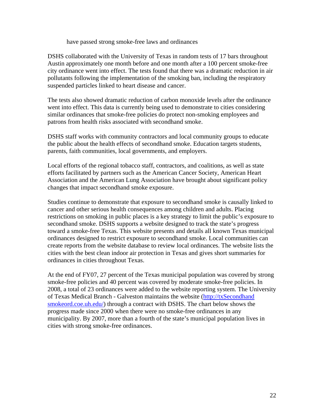have passed strong smoke-free laws and ordinances

DSHS collaborated with the University of Texas in random tests of 17 bars throughout Austin approximately one month before and one month after a 100 percent smoke-free city ordinance went into effect. The tests found that there was a dramatic reduction in air pollutants following the implementation of the smoking ban, including the respiratory suspended particles linked to heart disease and cancer.

The tests also showed dramatic reduction of carbon monoxide levels after the ordinance went into effect. This data is currently being used to demonstrate to cities considering similar ordinances that smoke-free policies do protect non-smoking employees and patrons from health risks associated with secondhand smoke.

DSHS staff works with community contractors and local community groups to educate the public about the health effects of secondhand smoke. Education targets students, parents, faith communities, local governments, and employers.

Local efforts of the regional tobacco staff, contractors, and coalitions, as well as state efforts facilitated by partners such as the American Cancer Society, American Heart Association and the American Lung Association have brought about significant policy changes that impact secondhand smoke exposure.

Studies continue to demonstrate that exposure to secondhand smoke is causally linked to cancer and other serious health consequences among children and adults. Placing restrictions on smoking in public places is a key strategy to limit the public's exposure to secondhand smoke. DSHS supports a website designed to track the state's progress toward a smoke-free Texas. This website presents and details all known Texas municipal ordinances designed to restrict exposure to secondhand smoke. Local communities can create reports from the website database to review local ordinances. The website lists the cities with the best clean indoor air protection in Texas and gives short summaries for ordinances in cities throughout Texas.

At the end of FY07, 27 percent of the Texas municipal population was covered by strong smoke-free policies and 40 percent was covered by moderate smoke-free policies. In 2008, a total of 23 ordinances were added to the website reporting system. The University of Texas Medical Branch - Galveston maintains the website [\(http://txSecondhand](http://txshsord.coe.uh.edu/)  [smokeord.coe.uh.edu/\)](http://txshsord.coe.uh.edu/) through a contract with DSHS. The chart below shows the progress made since 2000 when there were no smoke-free ordinances in any municipality. By 2007, more than a fourth of the state's municipal population lives in cities with strong smoke-free ordinances.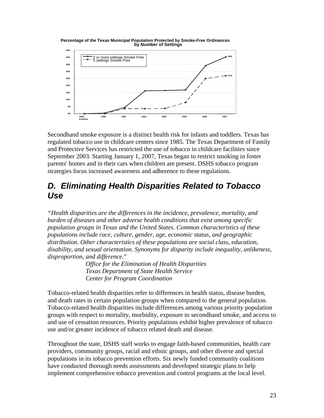

Secondhand smoke exposure is a distinct health risk for infants and toddlers. Texas has regulated tobacco use in childcare centers since 1985. The Texas Department of Family and Protective Services has restricted the use of tobacco in childcare facilities since September 2003. Starting January 1, 2007, Texas began to restrict smoking in foster parents' homes and in their cars when children are present. DSHS tobacco program strategies focus increased awareness and adherence to these regulations.

# *D. Eliminating Health Disparities Related to Tobacco Use*

*"Health disparities are the differences in the incidence, prevalence, mortality, and burden of diseases and other adverse health conditions that exist among specific population groups in Texas and the United States. Common characteristics of these populations include race, culture, gender, age, economic status, and geographic distribution. Other characteristics of these populations are social class, education, disability, and sexual orientation. Synonyms for disparity include inequality, unlikeness, disproportion, and difference.*"

> *Office for the Elimination of Health Disparities Texas Department of State Health Service Center for Program Coordination*

Tobacco-related health disparities refer to differences in health status, disease burden, and death rates in certain population groups when compared to the general population. Tobacco-related health disparities include differences among various priority population groups with respect to mortality, morbidity, exposure to secondhand smoke, and access to and use of cessation resources. Priority populations exhibit higher prevalence of tobacco use and/or greater incidence of tobacco related death and disease.

Throughout the state, DSHS staff works to engage faith-based communities, health care providers, community groups, racial and ethnic groups, and other diverse and special populations in its tobacco prevention efforts. Six newly funded community coalitions have conducted thorough needs assessments and developed strategic plans to help implement comprehensive tobacco prevention and control programs at the local level.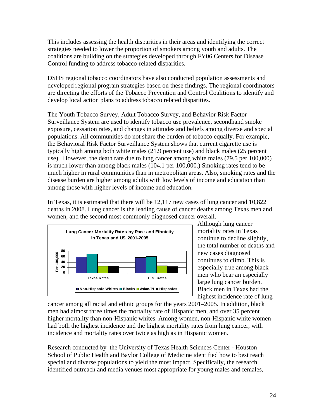This includes assessing the health disparities in their areas and identifying the correct strategies needed to lower the proportion of smokers among youth and adults. The coalitions are building on the strategies developed through FY06 Centers for Disease Control funding to address tobacco-related disparities.

DSHS regional tobacco coordinators have also conducted population assessments and developed regional program strategies based on these findings. The regional coordinators are directing the efforts of the Tobacco Prevention and Control Coalitions to identify and develop local action plans to address tobacco related disparities.

The Youth Tobacco Survey, Adult Tobacco Survey, and Behavior Risk Factor Surveillance System are used to identify tobacco use prevalence, secondhand smoke exposure, cessation rates, and changes in attitudes and beliefs among diverse and special populations. All communities do not share the burden of tobacco equally. For example, the Behavioral Risk Factor Surveillance System shows that current cigarette use is typically high among both white males (21.9 percent use) and black males (25 percent use). However, the death rate due to lung cancer among white males (79.5 per 100,000) is much lower than among black males (104.1 per 100,000.) Smoking rates tend to be much higher in rural communities than in metropolitan areas. Also, smoking rates and the disease burden are higher among adults with low levels of income and education than among those with higher levels of income and education.

In Texas, it is estimated that there will be 12,117 new cases of lung cancer and 10,822 deaths in 2008. Lung cancer is the leading cause of cancer deaths among Texas men and women, and the second most commonly diagnosed cancer overall.



Although lung cancer mortality rates in Texas continue to decline slightly, the total number of deaths and new cases diagnosed continues to climb. This is especially true among black men who bear an especially large lung cancer burden. Black men in Texas had the highest incidence rate of lung

cancer among all racial and ethnic groups for the years 2001–2005. In addition, black men had almost three times the mortality rate of Hispanic men, and over 35 percent higher mortality than non-Hispanic whites. Among women, non-Hispanic white women had both the highest incidence and the highest mortality rates from lung cancer, with incidence and mortality rates over twice as high as in Hispanic women.

Research conducted by the University of Texas Health Sciences Center - Houston School of Public Health and Baylor College of Medicine identified how to best reach special and diverse populations to yield the most impact. Specifically, the research identified outreach and media venues most appropriate for young males and females,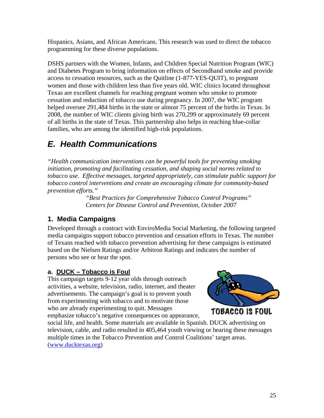Hispanics, Asians, and African Americans. This research was used to direct the tobacco programming for these diverse populations.

DSHS partners with the Women, Infants, and Children Special Nutrition Program (WIC) and Diabetes Program to bring information on effects of Secondhand smoke and provide access to cessation resources, such as the Quitline (1-877-YES-QUIT), to pregnant women and those with children less than five years old. WIC clinics located throughout Texas are excellent channels for reaching pregnant women who smoke to promote cessation and reduction of tobacco use during pregnancy. In 2007, the WIC program helped oversee 291,484 births in the state or almost 75 percent of the births in Texas. In 2008, the number of WIC clients giving birth was 270,299 or approximately 69 percent of all births in the state of Texas. This partnership also helps in reaching blue-collar families, who are among the identified high-risk populations.

# *E. Health Communications*

*"Health communication interventions can be powerful tools for preventing smoking initiation, promoting and facilitating cessation, and shaping social norms related to tobacco use. Effective messages, targeted appropriately, can stimulate public support for tobacco control interventions and create an encouraging climate for community-based prevention efforts."* 

*"Best Practices for Comprehensive Tobacco Control Programs" Centers for Disease Control and Prevention, October 2007*

# **1. Media Campaigns**

Developed through a contract with EnviroMedia Social Marketing, the following targeted media campaigns support tobacco prevention and cessation efforts in Texas. The number of Texans reached with tobacco prevention advertising for these campaigns is estimated based on the Nielsen Ratings and/or Arbitron Ratings and indicates the number of persons who see or hear the spot.

### **a. DUCK – Tobacco is Foul**

This campaign targets 9-12 year olds through outreach activities, a website, television, radio, internet, and theater advertisements. The campaign's goal is to prevent youth from experimenting with tobacco and to motivate those who are already experimenting to quit. Messages emphasize tobacco's negative consequences on appearance,



social life, and health. Some materials are available in Spanish. DUCK advertising on television, cable, and radio resulted in 405,464 youth viewing or hearing these messages multiple times in the Tobacco Prevention and Control Coalitions' target areas. ([www.ducktexas.org\)](http://www.ducktexas.org/)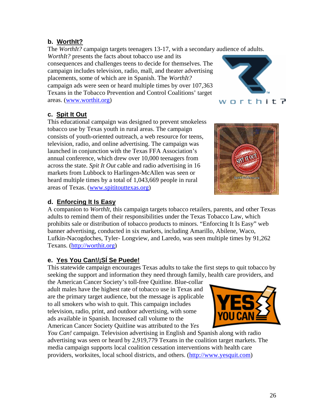### **b. WorthIt?**

The *WorthIt?* campaign targets teenagers 13-17, with a secondary audience of adults.

*WorthIt?* presents the facts about tobacco use and its consequences and challenges teens to decide for themselves. The campaign includes television, radio, mall, and theater advertising placements, some of which are in Spanish. The *WorthIt?* campaign ads were seen or heard multiple times by over 107,363 Texans in the Tobacco Prevention and Control Coalitions' target areas. ([www.worthit.org](http://www.worthit.org/))

# worthit?

### **c. Spit It Out**

This educational campaign was designed to prevent smokeless tobacco use by Texas youth in rural areas. The campaign consists of youth-oriented outreach, a web resource for teens, television, radio, and online advertising. The campaign was launched in conjunction with the Texas FFA Association's annual conference, which drew over 10,000 teenagers from across the state. *Spit It Out* cable and radio advertising in 16 markets from Lubbock to Harlingen-McAllen was seen or heard multiple times by a total of 1,043,669 people in rural areas of Texas. [\(www.spititouttexas.org](http://www.spititouttexas.org/))

# **d. Enforcing It Is Easy**

A companion to *WorthIt,* this campaign targets tobacco retailers, parents, and other Texas adults to remind them of their responsibilities under the Texas Tobacco Law, which prohibits sale or distribution of tobacco products to minors. "Enforcing It Is Easy" web banner advertising, conducted in six markets, including Amarillo, Abilene, Waco, Lufkin-Nacogdoches, Tyler- Longview, and Laredo, was seen multiple times by 91,262 Texans. ([http://worthit.org\)](http://worthit.org/)

# **e. Yes You Can!/¡SÍ Se Puede!**

This statewide campaign encourages Texas adults to take the first steps to quit tobacco by seeking the support and information they need through family, health care providers, and

the American Cancer Society's toll-free Quitline. Blue-collar adult males have the highest rate of tobacco use in Texas and are the primary target audience, but the message is applicable to all smokers who wish to quit. This campaign includes television, radio, print, and outdoor advertising, with some ads available in Spanish. Increased call volume to the American Cancer Society Quitline was attributed to the *Yes* 



*You Can!* campaign. Television advertising in English and Spanish along with radio advertising was seen or heard by 2,919,779 Texans in the coalition target markets. The media campaign supports local coalition cessation interventions with health care providers, worksites, local school districts, and others. ([http://www.yesquit.com\)](http://www.yesquit.com/)

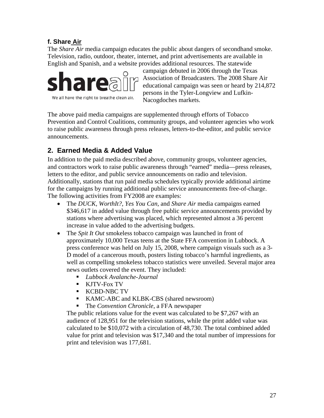### **f. Share Air**

The *Share Air* media campaign educates the public about dangers of secondhand smoke. Television, radio, outdoor, theater, internet, and print advertisements are available in English and Spanish, and a website provides additional resources. The statewide



campaign debuted in 2006 through the Texas Association of Broadcasters. The 2008 Share Air educational campaign was seen or heard by 214,872 persons in the Tyler-Longview and Lufkin-Nacogdoches markets.

The above paid media campaigns are supplemented through efforts of Tobacco Prevention and Control Coalitions, community groups, and volunteer agencies who work to raise public awareness through press releases, letters-to-the-editor, and public service announcements.

# **2. Earned Media & Added Value**

In addition to the paid media described above, community groups, volunteer agencies, and contractors work to raise public awareness through "earned" media—press releases, letters to the editor, and public service announcements on radio and television. Additionally, stations that run paid media schedules typically provide additional airtime for the campaigns by running additional public service announcements free-of-charge. The following activities from FY2008 are examples:

- The *DUCK, WorthIt?, Yes You Can,* and *Share Air* media campaigns earned \$346,617 in added value through free public service announcements provided by stations where advertising was placed, which represented almost a 36 percent increase in value added to the advertising budgets.
- The *Spit It Out* smokeless tobacco campaign was launched in front of approximately 10,000 Texas teens at the State FFA convention in Lubbock. A press conference was held on July 15, 2008, where campaign visuals such as a 3- D model of a cancerous mouth, posters listing tobacco's harmful ingredients, as well as compelling smokeless tobacco statistics were unveiled. Several major area news outlets covered the event. They included:
	- *Lubbock Avalanche-Journal*
	- **KJTV-Fox TV**
	- **KCBD-NBC TV**
	- KAMC-ABC and KLBK-CBS (shared newsroom)
	- The *Convention Chronicle*, a FFA newspaper

The public relations value for the event was calculated to be \$7,267 with an audience of 128,951 for the television stations, while the print added value was calculated to be \$10,072 with a circulation of 48,730. The total combined added value for print and television was \$17,340 and the total number of impressions for print and television was 177,681.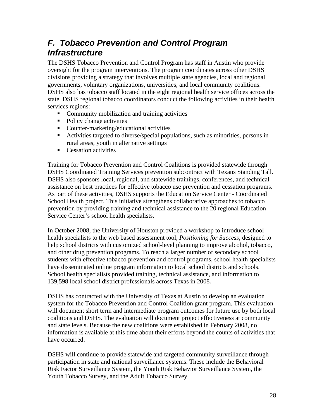# *F. Tobacco Prevention and Control Program Infrastructure*

The DSHS Tobacco Prevention and Control Program has staff in Austin who provide oversight for the program interventions. The program coordinates across other DSHS divisions providing a strategy that involves multiple state agencies, local and regional governments, voluntary organizations, universities, and local community coalitions. DSHS also has tobacco staff located in the eight regional health service offices across the state. DSHS regional tobacco coordinators conduct the following activities in their health services regions:

- **Community mobilization and training activities**
- Policy change activities
- Counter-marketing/educational activities
- Activities targeted to diverse/special populations, such as minorities, persons in rural areas, youth in alternative settings
- **Cessation activities**

Training for Tobacco Prevention and Control Coalitions is provided statewide through DSHS Coordinated Training Services prevention subcontract with Texans Standing Tall. DSHS also sponsors local, regional, and statewide trainings, conferences, and technical assistance on best practices for effective tobacco use prevention and cessation programs. As part of these activities, DSHS supports the Education Service Center - Coordinated School Health project. This initiative strengthens collaborative approaches to tobacco prevention by providing training and technical assistance to the 20 regional Education Service Center's school health specialists.

In October 2008, the University of Houston provided a workshop to introduce school health specialists to the web based assessment tool, *Positioning for Success,* designed to help school districts with customized school-level planning to improve alcohol, tobacco, and other drug prevention programs. To reach a larger number of secondary school students with effective tobacco prevention and control programs, school health specialists have disseminated online program information to local school districts and schools. School health specialists provided training, technical assistance, and information to 139,598 local school district professionals across Texas in 2008.

DSHS has contracted with the University of Texas at Austin to develop an evaluation system for the Tobacco Prevention and Control Coalition grant program. This evaluation will document short term and intermediate program outcomes for future use by both local coalitions and DSHS. The evaluation will document project effectiveness at community and state levels. Because the new coalitions were established in February 2008, no information is available at this time about their efforts beyond the counts of activities that have occurred.

DSHS will continue to provide statewide and targeted community surveillance through participation in state and national surveillance systems. These include the Behavioral Risk Factor Surveillance System, the Youth Risk Behavior Surveillance System, the Youth Tobacco Survey, and the Adult Tobacco Survey.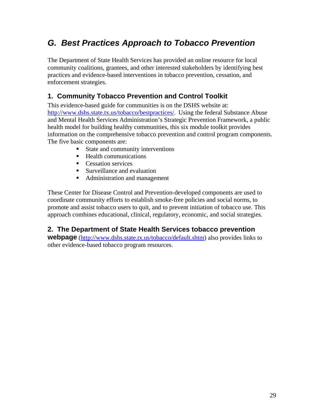# *G. Best Practices Approach to Tobacco Prevention*

The Department of State Health Services has provided an online resource for local community coalitions, grantees, and other interested stakeholders by identifying best practices and evidence-based interventions in tobacco prevention, cessation, and enforcement strategies.

# **1. Community Tobacco Prevention and Control Toolkit**

This evidence-based guide for communities is on the DSHS website at: <http://www.dshs.state.tx.us/tobacco/bestpractices/>. Using the federal Substance Abuse and Mental Health Services Administration's Strategic Prevention Framework, a public health model for building healthy communities, this six module toolkit provides information on the comprehensive tobacco prevention and control program components. The five basic components are:

- State and community interventions
- $\blacksquare$  Health communications
- **Cessation services**
- Surveillance and evaluation
- Administration and management

These Center for Disease Control and Prevention-developed components are used to coordinate community efforts to establish smoke-free policies and social norms, to promote and assist tobacco users to quit, and to prevent initiation of tobacco use. This approach combines educational, clinical, regulatory, economic, and social strategies.

### **2. The Department of State Health Services tobacco prevention**

**webpage** (<http://www.dshs.state.tx.us/tobacco/default.shtm>) also provides links to other evidence-based tobacco program resources.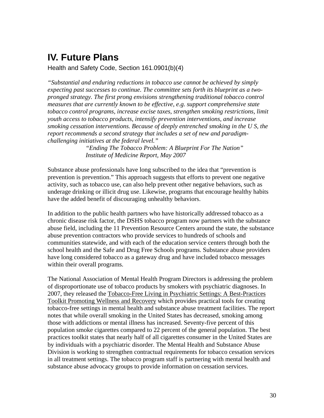# **IV. Future Plans**

Health and Safety Code, Section 161.0901(b)(4)

*"Substantial and enduring reductions in tobacco use cannot be achieved by simply expecting past successes to continue. The committee sets forth its blueprint as a twopronged strategy. The first prong envisions strengthening traditional tobacco control measures that are currently known to be effective, e.g. support comprehensive state tobacco control programs, increase excise taxes, strengthen smoking restrictions, limit youth access to tobacco products, intensify prevention interventions, and increase smoking cessation interventions. Because of deeply entrenched smoking in the U S, the report recommends a second strategy that includes a set of new and paradigmchallenging initiatives at the federal level."* 

> *"Ending The Tobacco Problem: A Blueprint For The Nation" Institute of Medicine Report, May 2007*

Substance abuse professionals have long subscribed to the idea that "prevention is prevention is prevention." This approach suggests that efforts to prevent one negative activity, such as tobacco use, can also help prevent other negative behaviors, such as underage drinking or illicit drug use. Likewise, programs that encourage healthy habits have the added benefit of discouraging unhealthy behaviors.

In addition to the public health partners who have historically addressed tobacco as a chronic disease risk factor, the DSHS tobacco program now partners with the substance abuse field, including the 11 Prevention Resource Centers around the state, the substance abuse prevention contractors who provide services to hundreds of schools and communities statewide, and with each of the education service centers through both the school health and the Safe and Drug Free Schools programs. Substance abuse providers have long considered tobacco as a gateway drug and have included tobacco messages within their overall programs.

The National Association of Mental Health Program Directors is addressing the problem of disproportionate use of tobacco products by smokers with psychiatric diagnoses. In 2007, they released the Tobacco-Free Living in Psychiatric Settings: A Best-Practices Toolkit Promoting Wellness and Recovery which provides practical tools for creating tobacco-free settings in mental health and substance abuse treatment facilities. The report notes that while overall smoking in the United States has decreased, smoking among those with addictions or mental illness has increased. Seventy-five percent of this population smoke cigarettes compared to 22 percent of the general population. The best practices toolkit states that nearly half of all cigarettes consumer in the United States are by individuals with a psychiatric disorder. The Mental Health and Substance Abuse Division is working to strengthen contractual requirements for tobacco cessation services in all treatment settings. The tobacco program staff is partnering with mental health and substance abuse advocacy groups to provide information on cessation services.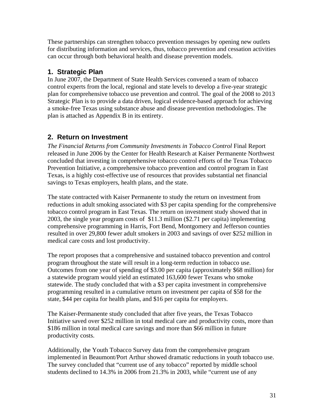These partnerships can strengthen tobacco prevention messages by opening new outlets for distributing information and services, thus, tobacco prevention and cessation activities can occur through both behavioral health and disease prevention models.

### **1. Strategic Plan**

In June 2007, the Department of State Health Services convened a team of tobacco control experts from the local, regional and state levels to develop a five-year strategic plan for comprehensive tobacco use prevention and control. The goal of the 2008 to 2013 Strategic Plan is to provide a data driven, logical evidence-based approach for achieving a smoke-free Texas using substance abuse and disease prevention methodologies. The plan is attached as Appendix B in its entirety.

# **2. Return on Investment**

*The Financial Returns from Community Investments in Tobacco Control* Final Report released in June 2006 by the Center for Health Research at Kaiser Permanente Northwest concluded that investing in comprehensive tobacco control efforts of the Texas Tobacco Prevention Initiative, a comprehensive tobacco prevention and control program in East Texas, is a highly cost-effective use of resources that provides substantial net financial savings to Texas employers, health plans, and the state.

The state contracted with Kaiser Permanente to study the return on investment from reductions in adult smoking associated with \$3 per capita spending for the comprehensive tobacco control program in East Texas. The return on investment study showed that in 2003, the single year program costs of \$11.3 million (\$2.71 per capita) implementing comprehensive programming in Harris, Fort Bend, Montgomery and Jefferson counties resulted in over 29,800 fewer adult smokers in 2003 and savings of over \$252 million in medical care costs and lost productivity.

The report proposes that a comprehensive and sustained tobacco prevention and control program throughout the state will result in a long-term reduction in tobacco use. Outcomes from one year of spending of \$3.00 per capita (approximately \$68 million) for a statewide program would yield an estimated 163,600 fewer Texans who smoke statewide. The study concluded that with a \$3 per capita investment in comprehensive programming resulted in a cumulative return on investment per capita of \$58 for the state, \$44 per capita for health plans, and \$16 per capita for employers.

The Kaiser-Permanente study concluded that after five years, the Texas Tobacco Initiative saved over \$252 million in total medical care and productivity costs, more than \$186 million in total medical care savings and more than \$66 million in future productivity costs.

Additionally, the Youth Tobacco Survey data from the comprehensive program implemented in Beaumont/Port Arthur showed dramatic reductions in youth tobacco use. The survey concluded that "current use of any tobacco" reported by middle school students declined to 14.3% in 2006 from 21.3% in 2003, while "current use of any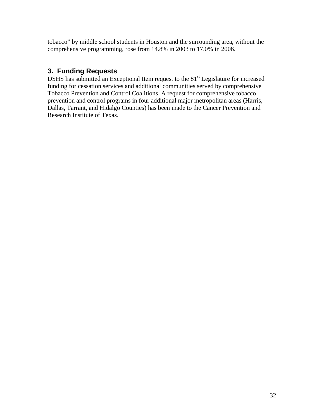tobacco" by middle school students in Houston and the surrounding area, without the comprehensive programming, rose from 14.8% in 2003 to 17.0% in 2006.

# **3. Funding Requests**

DSHS has submitted an Exceptional Item request to the 81<sup>st</sup> Legislature for increased funding for cessation services and additional communities served by comprehensive Tobacco Prevention and Control Coalitions. A request for comprehensive tobacco prevention and control programs in four additional major metropolitan areas (Harris, Dallas, Tarrant, and Hidalgo Counties) has been made to the Cancer Prevention and Research Institute of Texas.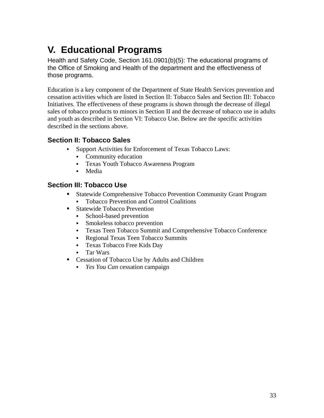# **V. Educational Programs**

Health and Safety Code, Section 161.0901(b)(5): The educational programs of the Office of Smoking and Health of the department and the effectiveness of those programs.

Education is a key component of the Department of State Health Services prevention and cessation activities which are listed in Section II: Tobacco Sales and Section III: Tobacco Initiatives. The effectiveness of these programs is shown through the decrease of illegal sales of tobacco products to minors in Section II and the decrease of tobacco use in adults and youth as described in Section VI: Tobacco Use. Below are the specific activities described in the sections above.

# **Section II: Tobacco Sales**

- Support Activities for Enforcement of Texas Tobacco Laws:
	- Community education
	- Texas Youth Tobacco Awareness Program
	- Media

# **Section III: Tobacco Use**

- Statewide Comprehensive Tobacco Prevention Community Grant Program Tobacco Prevention and Control Coalitions
- Statewide Tobacco Prevention
	- School-based prevention
	- Smokeless tobacco prevention
	- Texas Teen Tobacco Summit and Comprehensive Tobacco Conference
	- Regional Texas Teen Tobacco Summits
	- Texas Tobacco Free Kids Day
	- Tar Wars
- Cessation of Tobacco Use by Adults and Children
	- *Yes You Can* cessation campaign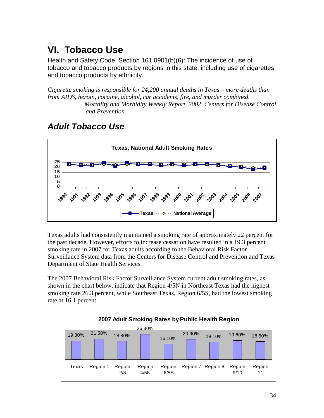# **VI. Tobacco Use**

Health and Safety Code, Section 161.0901(b)(6): The incidence of use of tobacco and tobacco products by regions in this state, including use of cigarettes and tobacco products by ethnicity.

*Cigarette smoking is responsible for 24,200 annual deaths in Texas – more deaths than from AIDS, heroin, cocaine, alcohol, car accidents, fire, and murder combined. Mortality and Morbidity Weekly Report, 2002, Centers for Disease Control and Prevention*

# *Adult Tobacco Use*



Texas adults had consistently maintained a smoking rate of approximately 22 percent for the past decade. However, efforts to increase cessation have resulted in a 19.3 percent smoking rate in 2007 for Texas adults according to the Behavioral Risk Factor Surveillance System data from the Centers for Disease Control and Prevention and Texas Department of State Health Services.

The 2007 Behavioral Risk Factor Surveillance System current adult smoking rates, as shown in the chart below, indicate that Region 4/5N in Northeast Texas had the highest smoking rate 26.3 percent, while Southeast Texas, Region 6/5S, had the lowest smoking rate at 16.1 percent.

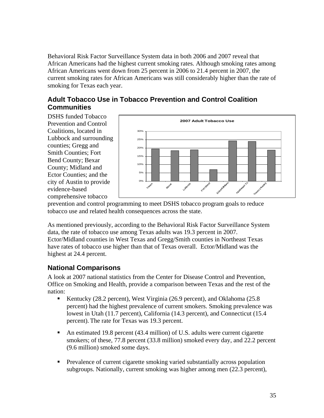Behavioral Risk Factor Surveillance System data in both 2006 and 2007 reveal that African Americans had the highest current smoking rates. Although smoking rates among African Americans went down from 25 percent in 2006 to 21.4 percent in 2007, the current smoking rates for African Americans was still considerably higher than the rate of smoking for Texas each year.

### **Adult Tobacco Use in Tobacco Prevention and Control Coalition Communities**

DSHS funded Tobacco Prevention and Control Coalitions, located in Lubbock and surrounding counties; Gregg and Smith Counties; Fort Bend County; Bexar County; Midland and Ector Counties; and the city of Austin to provide evidence-based comprehensive tobacco



prevention and control programming to meet DSHS tobacco program goals to reduce tobacco use and related health consequences across the state.

As mentioned previously, according to the Behavioral Risk Factor Surveillance System data, the rate of tobacco use among Texas adults was 19.3 percent in 2007. Ector/Midland counties in West Texas and Gregg/Smith counties in Northeast Texas have rates of tobacco use higher than that of Texas overall. Ector/Midland was the highest at 24.4 percent.

# **National Comparisons**

A look at 2007 national statistics from the Center for Disease Control and Prevention, Office on Smoking and Health, provide a comparison between Texas and the rest of the nation:

- Kentucky (28.2 percent), West Virginia (26.9 percent), and Oklahoma (25.8 percent) had the highest prevalence of current smokers. Smoking prevalence was lowest in Utah (11.7 percent), California (14.3 percent), and Connecticut (15.4 percent). The rate for Texas was 19.3 percent.
- An estimated 19.8 percent (43.4 million) of U.S. adults were current cigarette smokers; of these, 77.8 percent (33.8 million) smoked every day, and 22.2 percent (9.6 million) smoked some days.
- **Prevalence of current cigarette smoking varied substantially across population** subgroups. Nationally, current smoking was higher among men (22.3 percent),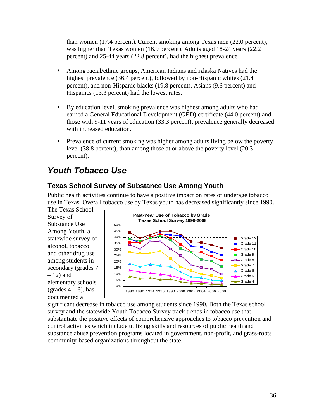than women (17.4 percent).Current smoking among Texas men (22.0 percent), was higher than Texas women (16.9 percent). Adults aged 18-24 years (22.2 percent) and 25-44 years (22.8 percent), had the highest prevalence

- Among racial/ethnic groups, American Indians and Alaska Natives had the highest prevalence (36.4 percent), followed by non-Hispanic whites (21.4 percent), and non-Hispanic blacks (19.8 percent). Asians (9.6 percent) and Hispanics (13.3 percent) had the lowest rates.
- By education level, smoking prevalence was highest among adults who had earned a General Educational Development (GED) certificate (44.0 percent) and those with 9-11 years of education (33.3 percent); prevalence generally decreased with increased education.
- **Prevalence of current smoking was higher among adults living below the poverty** level (38.8 percent), than among those at or above the poverty level (20.3 percent).

# *Youth Tobacco Use*

# **Texas School Survey of Substance Use Among Youth**

Public health activities continue to have a positive impact on rates of underage tobacco use in Texas. Overall tobacco use by Texas youth has decreased significantly since 1990.

The Texas School Survey of Substance Use Among Youth, a statewide survey of alcohol, tobacco and other drug use among students in secondary (grades 7 – 12) and elementary schools (grades  $4-6$ ), has documented a



significant decrease in tobacco use among students since 1990. Both the Texas school survey and the statewide Youth Tobacco Survey track trends in tobacco use that substantiate the positive effects of comprehensive approaches to tobacco prevention and control activities which include utilizing skills and resources of public health and substance abuse prevention programs located in government, non-profit, and grass-roots community-based organizations throughout the state.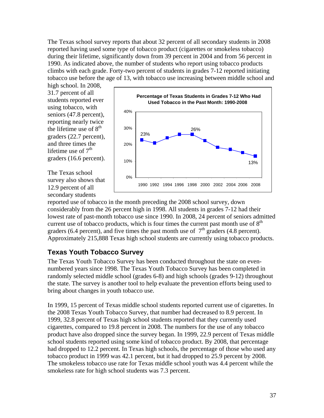The Texas school survey reports that about 32 percent of all secondary students in 2008 reported having used some type of tobacco product (cigarettes or smokeless tobacco) during their lifetime, significantly down from 39 percent in 2004 and from 56 percent in 1990. As indicated above, the number of students who report using tobacco products climbs with each grade. Forty-two percent of students in grades 7-12 reported initiating tobacco use before the age of 13, with tobacco use increasing between middle school and

high school. In 2008, 31.7 percent of all students reported ever using tobacco, with seniors (47.8 percent), reporting nearly twice the lifetime use of  $8<sup>th</sup>$ graders (22.7 percent), and three times the lifetime use of  $7<sup>th</sup>$ graders (16.6 percent).

The Texas school survey also shows that 12.9 percent of all secondary students



reported use of tobacco in the month preceding the 2008 school survey, down considerably from the 26 percent high in 1998. All students in grades 7-12 had their lowest rate of past-month tobacco use since 1990. In 2008, 24 percent of seniors admitted current use of tobacco products, which is four times the current past month use of  $8<sup>th</sup>$ graders (6.4 percent), and five times the past month use of  $7<sup>th</sup>$  graders (4.8 percent). Approximately 215,888 Texas high school students are currently using tobacco products.

# **Texas Youth Tobacco Survey**

The Texas Youth Tobacco Survey has been conducted throughout the state on evennumbered years since 1998. The Texas Youth Tobacco Survey has been completed in randomly selected middle school (grades 6-8) and high schools (grades 9-12) throughout the state. The survey is another tool to help evaluate the prevention efforts being used to bring about changes in youth tobacco use.

In 1999, 15 percent of Texas middle school students reported current use of cigarettes. In the 2008 Texas Youth Tobacco Survey, that number had decreased to 8.9 percent. In 1999, 32.8 percent of Texas high school students reported that they currently used cigarettes, compared to 19.8 percent in 2008. The numbers for the use of any tobacco product have also dropped since the survey began. In 1999, 22.9 percent of Texas middle school students reported using some kind of tobacco product. By 2008, that percentage had dropped to 12.2 percent. In Texas high schools, the percentage of those who used any tobacco product in 1999 was 42.1 percent, but it had dropped to 25.9 percent by 2008. The smokeless tobacco use rate for Texas middle school youth was 4.4 percent while the smokeless rate for high school students was 7.3 percent.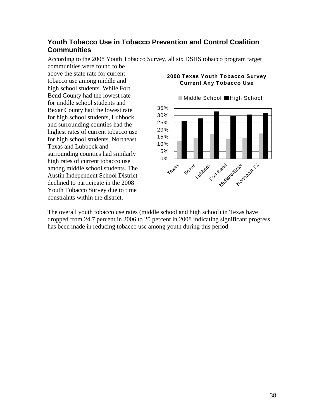### **Youth Tobacco Use in Tobacco Prevention and Control Coalition Communities**

0% 5% 10% 15% 20% 25% 30% 35%  $\times e^{t^{\mathfrak{G}^{\sharp}}}$ Beyan Lubbock Fort Bend Kctor ass T ■Middle School ■High School

According to the 2008 Youth Tobacco Survey, all six DSHS tobacco program target communities were found to be

above the state rate for current tobacco use among middle and high school students. While Fort Bend County had the lowest rate for middle school students and Bexar County had the lowest rate for high school students, Lubbock and surrounding counties had the highest rates of current tobacco use for high school students. Northeast Texas and Lubbock and surrounding counties had similarly high rates of current tobacco use among middle school students. The Austin Independent School District declined to participate in the 2008 Youth Tobacco Survey due to time constraints within the district.

### **2008 Texas Youth Tobacco Survey Current Any Tobacco Use**

The overall youth tobacco use rates (middle school and high school) in Texas have dropped from 24.7 percent in 2006 to 20 percent in 2008 indicating significant progress has been made in reducing tobacco use among youth during this period.